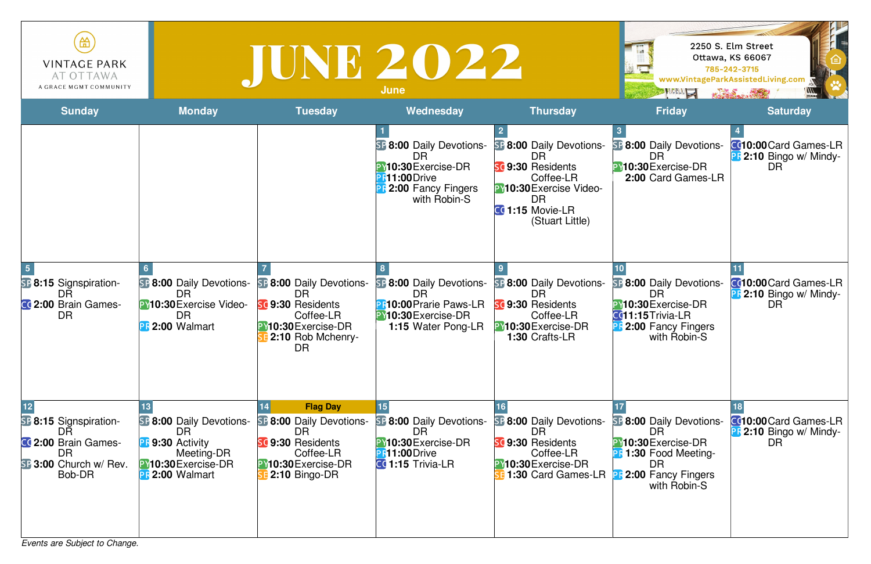*Events are Subject to Change.*

| 笽<br><b>VINTAGE PARK</b><br>AT OTTAWA<br>A GRACE MGMT COMMUNITY                                        |                                                                                                                                 | TUNE 2022                                                                                                                    | <b>June</b>                                                                                                                       |                                                                                                                                                                 | <b>ANDREAD SERVICE</b>                                                                                                                          | 2250 S. Elm Street<br><b>Ottawa, KS 66067</b><br>785-242-3715<br>www.VintageParkAssistedLiving.com<br>KARAS AND |
|--------------------------------------------------------------------------------------------------------|---------------------------------------------------------------------------------------------------------------------------------|------------------------------------------------------------------------------------------------------------------------------|-----------------------------------------------------------------------------------------------------------------------------------|-----------------------------------------------------------------------------------------------------------------------------------------------------------------|-------------------------------------------------------------------------------------------------------------------------------------------------|-----------------------------------------------------------------------------------------------------------------|
| <b>Sunday</b>                                                                                          | <b>Monday</b>                                                                                                                   | <b>Tuesday</b>                                                                                                               | Wednesday                                                                                                                         | <b>Thursday</b>                                                                                                                                                 | <b>Friday</b>                                                                                                                                   | <b>Saturday</b>                                                                                                 |
|                                                                                                        |                                                                                                                                 |                                                                                                                              | SP 8:00 Daily Devotions-<br>DR<br><b>PY10:30</b> Exercise-DR<br><b>PR11:00</b> Drive<br>2:00 Fancy Fingers<br>with Robin-S        | <b>SF 8:00 Daily Devotions-</b><br>DR<br>sc 9:30 Residents<br>Coffee-LR<br><b>PY10:30 Exercise Video-</b><br><b>DR</b><br>$CG 1:15$ Movie-LR<br>(Stuart Little) | <b>SF 8:00 Daily Devotions-</b><br>DR<br>PY10:30 Exercise-DR<br>2:00 Card Games-LR                                                              | <b>CC10:00</b> Card Games-LR<br><b>PF 2:10 Bingo w/ Mindy-</b><br>DR.                                           |
| <b>SF 8:15 Signspiration-</b><br>DR<br>CC 2:00 Brain Games-<br><b>DR</b>                               | <b>SF 8:00 Daily Devotions-</b><br>DR<br>PY10:30 Exercise Video-<br>DR<br>PR 2:00 Walmart                                       | <b>SF 8:00 Daily Devotions-</b><br>DR<br>9:30 Residents<br>Coffee-LR<br>PY10:30Exercise-DR<br>2:10 Rob Mchenry-<br><b>DR</b> | <b>SF 8:00 Daily Devotions-</b><br><b>DR</b><br><b>PR10:00 Prarie Paws-LR</b><br>PY10:30 Exercise-DR<br><b>1:15 Water Pong-LR</b> | <b>SF 8:00 Daily Devotions-</b><br>DR<br>SC 9:30 Residents<br>Coffee-LR<br>PY10:30 Exercise-DR<br>1:30 Crafts-LR                                                | <b>BP 8:00 Daily Devotions-</b><br>DR<br>PY10:30 Exercise-DR<br>CC11:15Trivia-LR<br><b>B</b> 2:00 Fancy Fingers<br>with Robin-S                 | <b>CC10:00</b> Card Games-LR<br><b>PF 2:10 Bingo w/ Mindy-</b><br>DR.                                           |
| <b>SP 8:15 Signspiration-</b><br>DR<br>CC 2:00 Brain Games-<br>DR.<br>SP 3:00 Church w/ Rev.<br>Bob-DR | <b>SF 8:00 Daily Devotions-</b><br>DR<br><b>PF 9:30 Activity</b><br>Meeting-DR<br>PY10:30 Exercise-DR<br><b>PR</b> 2:00 Walmart | <b>Flag Day</b><br>8:00 Daily Devotions-<br>DR<br>9:30 Residents<br>Coffee-LR<br>PY10:30Exercise-DR<br>2:10 Bingo-DR         | <b>B:00 Daily Devotions-</b><br><b>DR</b><br><b>PY10:30</b> Exercise-DR<br><b>PR11:00</b> Drive<br>CC 1:15 Trivia-LR              | <b>SF 8:00 Daily Devotions-</b><br>DR<br><b>SC 9:30 Residents</b><br>Coffee-LR<br><b>PY10:30</b> Exercise-DR<br>1:30 Card Games-LR                              | <b>B:00 Daily Devotions-</b><br>DR<br>PY10:30 Exercise-DR<br><b>PF 1:30 Food Meeting-</b><br>DR.<br><b>B</b> 2:00 Fancy Fingers<br>with Robin-S | <b>C010:00</b> Card Games-LR<br><b>B</b> 2:10 Bingo w/ Mindy-<br><b>DR</b>                                      |